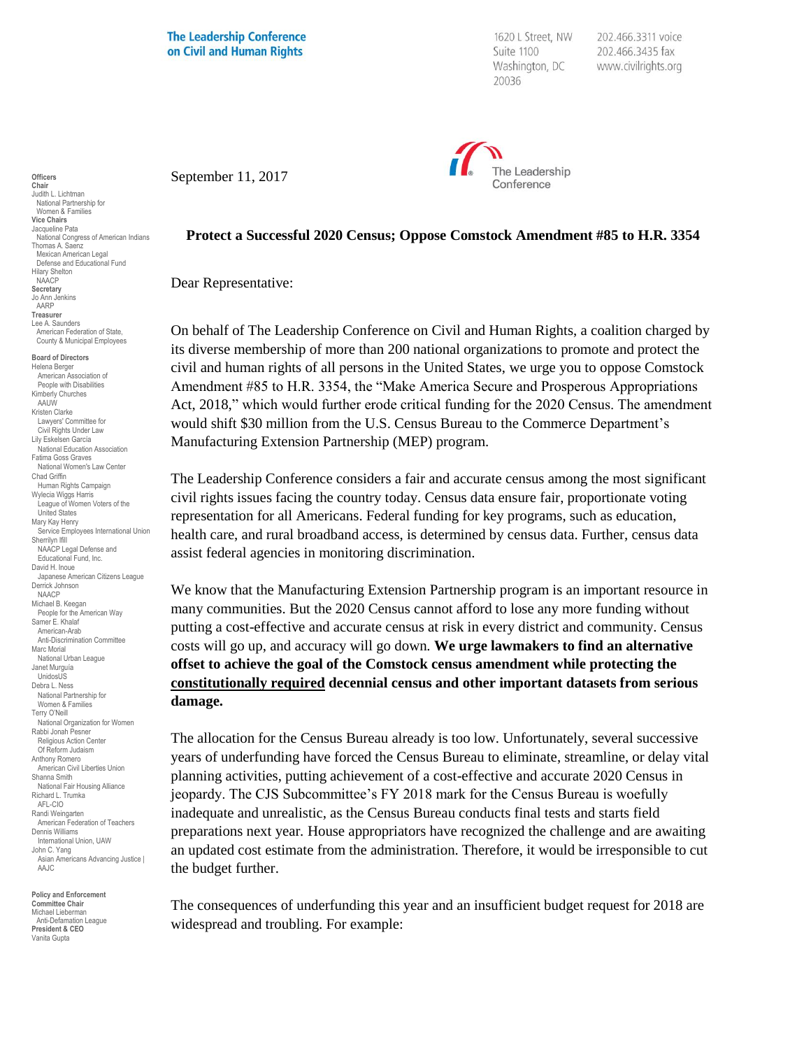**The Leadership Conference** on Civil and Human Rights

1620 L Street, NW Suite 1100 Washington, DC 20036

202.466.3311 voice 202.466.3435 fax www.civilrights.org



September 11, 2017

**Protect a Successful 2020 Census; Oppose Comstock Amendment #85 to H.R. 3354**

Dear Representative:

On behalf of The Leadership Conference on Civil and Human Rights, a coalition charged by its diverse membership of more than 200 national organizations to promote and protect the civil and human rights of all persons in the United States, we urge you to oppose Comstock Amendment #85 to H.R. 3354, the "Make America Secure and Prosperous Appropriations Act, 2018," which would further erode critical funding for the 2020 Census. The amendment would shift \$30 million from the U.S. Census Bureau to the Commerce Department's Manufacturing Extension Partnership (MEP) program.

The Leadership Conference considers a fair and accurate census among the most significant civil rights issues facing the country today. Census data ensure fair, proportionate voting representation for all Americans. Federal funding for key programs, such as education, health care, and rural broadband access, is determined by census data. Further, census data assist federal agencies in monitoring discrimination.

We know that the Manufacturing Extension Partnership program is an important resource in many communities. But the 2020 Census cannot afford to lose any more funding without putting a cost-effective and accurate census at risk in every district and community. Census costs will go up, and accuracy will go down*.* **We urge lawmakers to find an alternative offset to achieve the goal of the Comstock census amendment while protecting the constitutionally required decennial census and other important datasets from serious damage.**

The allocation for the Census Bureau already is too low. Unfortunately, several successive years of underfunding have forced the Census Bureau to eliminate, streamline, or delay vital planning activities, putting achievement of a cost-effective and accurate 2020 Census in jeopardy. The CJS Subcommittee's FY 2018 mark for the Census Bureau is woefully inadequate and unrealistic, as the Census Bureau conducts final tests and starts field preparations next year*.* House appropriators have recognized the challenge and are awaiting an updated cost estimate from the administration. Therefore, it would be irresponsible to cut the budget further.

The consequences of underfunding this year and an insufficient budget request for 2018 are widespread and troubling. For example:

**Officers Chair** Judith L. Lichtman National Partnership for Women & Families **Vice Chairs** Jacqueline Pata National Congress of American Indians Thomas A. Saenz Mexican American Legal Defense and Educational Fund Hilary Shelton NAACP **Secretary** Jo Ann Jenkins AARP **Treasurer** Lee A. Saunders American Federation of State, County & Municipal Employees **Board of Directors** Helena Berger American Association of People with Disabilities Kimberly Churches AAUW Kristen Clarke Lawyers' Committee for Civil Rights Under Law Lily Eskelsen García National Education Association Fatima Goss Graves National Women's Law Center Chad Griffin Human Rights Campaign Wylecia Wiggs Harris League of Women Voters of the United States Mary Kay Henry Service Employees International Union Sherrilyn Ifill NAACP Legal Defense and Educational Fund, Inc. David H. Inoue Japanese American Citizens League Derrick Johnson NAACP Michael B. Keegan People for the American Way Samer E. Khalaf American-Arab Anti-Discrimination Committee Marc Morial National Urban League Janet Murguía UnidosUS Debra L. Ness National Partnership for Women & Families Terry O'Neill National Organization for Women Rabbi Jonah Pesner Religious Action Center Of Reform Judaism Anthony Romero American Civil Liberties Union Shanna Smith National Fair Housing Alliance Richard L. Trumka AFL-CIO Randi Weingarten American Federation of Teachers Dennis Williams International Union, UAW John C. Yang Asian Americans Advancing Justice | AAJC

**Policy and Enforcement Committee Chair** Michael Lieberman Anti-Defamation League **President & CEO** Vanita Gupta